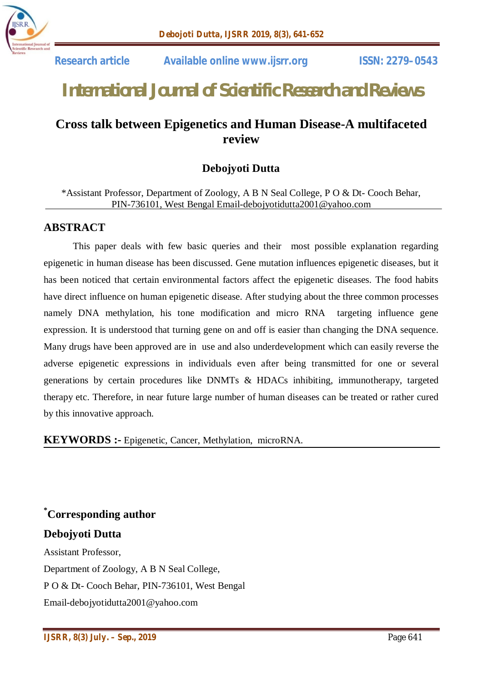

# *International Journal of Scientific Research and Reviews*

## **Cross talk between Epigenetics and Human Disease-A multifaceted review**

## **Debojyoti Dutta**

\*Assistant Professor, Department of Zoology, A B N Seal College, P O & Dt- Cooch Behar, PIN-736101, West Bengal Email-debojyotidutta2001@yahoo.com

#### **ABSTRACT**

This paper deals with few basic queries and their most possible explanation regarding epigenetic in human disease has been discussed. Gene mutation influences epigenetic diseases, but it has been noticed that certain environmental factors affect the epigenetic diseases. The food habits have direct influence on human epigenetic disease. After studying about the three common processes namely DNA methylation, his tone modification and micro RNA targeting influence gene expression. It is understood that turning gene on and off is easier than changing the DNA sequence. Many drugs have been approved are in use and also underdevelopment which can easily reverse the adverse epigenetic expressions in individuals even after being transmitted for one or several generations by certain procedures like DNMTs & HDACs inhibiting, immunotherapy, targeted therapy etc. Therefore, in near future large number of human diseases can be treated or rather cured by this innovative approach.

**KEYWORDS :-** Epigenetic, Cancer, Methylation, microRNA.

**\*Corresponding author Debojyoti Dutta** Assistant Professor,

Department of Zoology, A B N Seal College, P O & Dt- Cooch Behar, PIN-736101, West Bengal Email-debojyotidutta2001@yahoo.com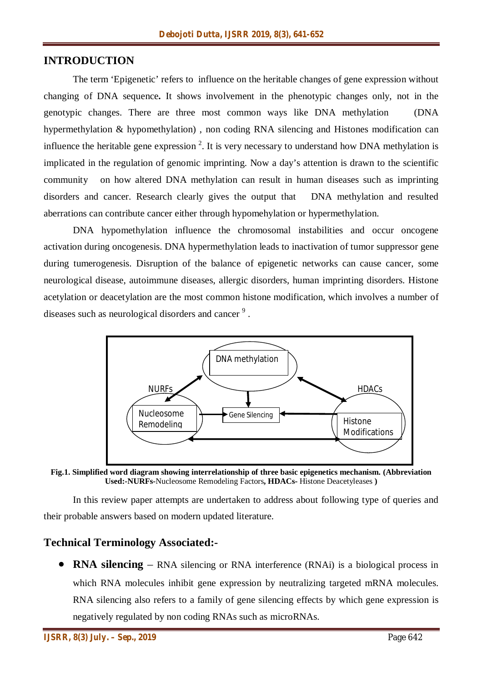## **INTRODUCTION**

The term 'Epigenetic' refers to influence on the heritable changes of gene expression without changing of DNA sequence**.** It shows involvement in the phenotypic changes only, not in the genotypic changes. There are three most common ways like DNA methylation (DNA hypermethylation & hypomethylation) , non coding RNA silencing and Histones modification can influence the heritable gene expression  $2$ . It is very necessary to understand how DNA methylation is implicated in the regulation of genomic imprinting. Now a day's attention is drawn to the scientific community on how altered DNA methylation can result in human diseases such as imprinting disorders and cancer. Research clearly gives the output that DNA methylation and resulted aberrations can contribute cancer either through hypomehylation or hypermethylation.

DNA hypomethylation influence the chromosomal instabilities and occur oncogene activation during oncogenesis. DNA hypermethylation leads to inactivation of tumor suppressor gene during tumerogenesis. Disruption of the balance of epigenetic networks can cause cancer, some neurological disease, autoimmune diseases, allergic disorders, human imprinting disorders. Histone acetylation or deacetylation are the most common histone modification, which involves a number of diseases such as neurological disorders and cancer<sup>9</sup>.



**Fig.1. Simplified word diagram showing interrelationship of three basic epigenetics mechanism. (Abbreviation Used:-NURFs-**Nucleosome Remodeling Factors**, HDACs-** Histone Deacetyleases **)**

In this review paper attempts are undertaken to address about following type of queries and their probable answers based on modern updated literature.

## **Technical Terminology Associated:-**

 **RNA silencing** – RNA silencing or RNA interference (RNAi) is a biological process in which RNA molecules inhibit gene expression by neutralizing targeted mRNA molecules. RNA silencing also refers to a family of gene silencing effects by which gene expression is negatively regulated by non coding RNAs such as microRNAs.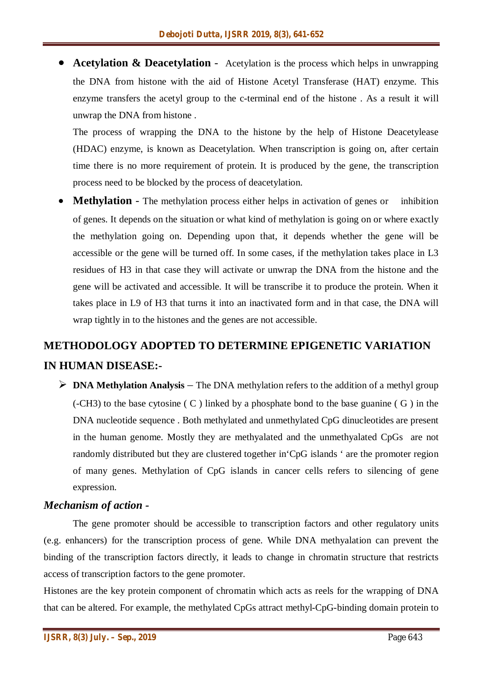**• Acetylation & Deacetylation** - Acetylation is the process which helps in unwrapping the DNA from histone with the aid of Histone Acetyl Transferase (HAT) enzyme. This enzyme transfers the acetyl group to the c-terminal end of the histone . As a result it will unwrap the DNA from histone .

The process of wrapping the DNA to the histone by the help of Histone Deacetylease (HDAC) enzyme, is known as Deacetylation. When transcription is going on, after certain time there is no more requirement of protein. It is produced by the gene, the transcription process need to be blocked by the process of deacetylation.

**Methylation** - The methylation process either helps in activation of genes or inhibition of genes. It depends on the situation or what kind of methylation is going on or where exactly the methylation going on. Depending upon that, it depends whether the gene will be accessible or the gene will be turned off. In some cases, if the methylation takes place in L3 residues of H3 in that case they will activate or unwrap the DNA from the histone and the gene will be activated and accessible. It will be transcribe it to produce the protein. When it takes place in L9 of H3 that turns it into an inactivated form and in that case, the DNA will wrap tightly in to the histones and the genes are not accessible.

## **METHODOLOGY ADOPTED TO DETERMINE EPIGENETIC VARIATION IN HUMAN DISEASE:-**

 **DNA Methylation Analysis** – The DNA methylation refers to the addition of a methyl group  $(-CH3)$  to the base cytosine  $(C)$  linked by a phosphate bond to the base guanine  $(C)$  in the DNA nucleotide sequence . Both methylated and unmethylated CpG dinucleotides are present in the human genome. Mostly they are methyalated and the unmethyalated CpGs are not randomly distributed but they are clustered together in'CpG islands ' are the promoter region of many genes. Methylation of CpG islands in cancer cells refers to silencing of gene expression.

## *Mechanism of action -*

The gene promoter should be accessible to transcription factors and other regulatory units (e.g. enhancers) for the transcription process of gene. While DNA methyalation can prevent the binding of the transcription factors directly, it leads to change in chromatin structure that restricts access of transcription factors to the gene promoter.

Histones are the key protein component of chromatin which acts as reels for the wrapping of DNA that can be altered. For example, the methylated CpGs attract methyl-CpG-binding domain protein to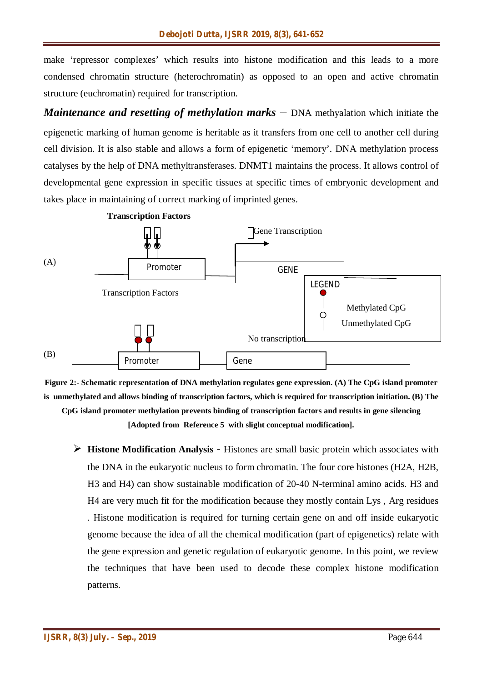make 'repressor complexes' which results into histone modification and this leads to a more condensed chromatin structure (heterochromatin) as opposed to an open and active chromatin structure (euchromatin) required for transcription.

*Maintenance and resetting of methylation marks –* DNA methyalation which initiate the epigenetic marking of human genome is heritable as it transfers from one cell to another cell during cell division. It is also stable and allows a form of epigenetic 'memory'. DNA methylation process catalyses by the help of DNA methyltransferases. DNMT1 maintains the process. It allows control of developmental gene expression in specific tissues at specific times of embryonic development and takes place in maintaining of correct marking of imprinted genes.





**[Adopted from Reference 5 with slight conceptual modification].**

 **Histone Modification Analysis** - Histones are small basic protein which associates with the DNA in the eukaryotic nucleus to form chromatin. The four core histones (H2A, H2B, H3 and H4) can show sustainable modification of 20-40 N-terminal amino acids. H3 and H4 are very much fit for the modification because they mostly contain Lys , Arg residues . Histone modification is required for turning certain gene on and off inside eukaryotic genome because the idea of all the chemical modification (part of epigenetics) relate with the gene expression and genetic regulation of eukaryotic genome. In this point, we review the techniques that have been used to decode these complex histone modification patterns.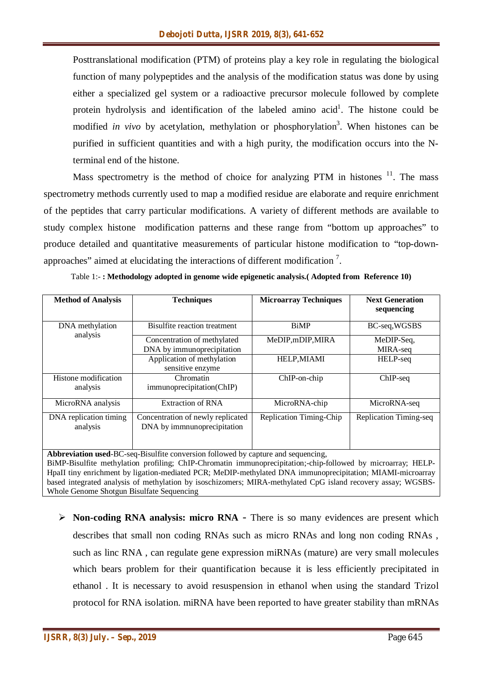Posttranslational modification (PTM) of proteins play a key role in regulating the biological function of many polypeptides and the analysis of the modification status was done by using either a specialized gel system or a radioactive precursor molecule followed by complete protein hydrolysis and identification of the labeled amino acid<sup>1</sup>. The histone could be modified *in vivo* by acetylation, methylation or phosphorylation<sup>3</sup>. When histones can be purified in sufficient quantities and with a high purity, the modification occurs into the Nterminal end of the histone.

Mass spectrometry is the method of choice for analyzing PTM in histones  $11$ . The mass spectrometry methods currently used to map a modified residue are elaborate and require enrichment of the peptides that carry particular modifications. A variety of different methods are available to study complex histone modification patterns and these range from "bottom up approaches" to produce detailed and quantitative measurements of particular histone modification to "top-downapproaches" aimed at elucidating the interactions of different modification<sup>7</sup>.

| <b>Method of Analysis</b>   | <b>Techniques</b>                 | <b>Microarray Techniques</b> | <b>Next Generation</b><br>sequencing |
|-----------------------------|-----------------------------------|------------------------------|--------------------------------------|
| DNA methylation<br>analysis | Bisulfite reaction treatment      | <b>BiMP</b>                  | BC-seq, WGSBS                        |
|                             | Concentration of methylated       | MeDIP, mDIP, MIRA            | MeDIP-Seq.                           |
|                             | DNA by immunoprecipitation        |                              | MIRA-seq                             |
|                             | Application of methylation        | HELP, MIAMI                  | HELP-seq                             |
|                             | sensitive enzyme                  |                              |                                      |
| Histone modification        | Chromatin                         | $ChIP-on-chip$               | $ChIP-seq$                           |
| analysis                    | immunoprecipitation(ChIP)         |                              |                                      |
| MicroRNA analysis           | <b>Extraction of RNA</b>          | MicroRNA-chip                | MicroRNA-seq                         |
| DNA replication timing      | Concentration of newly replicated | Replication Timing-Chip      | Replication Timing-seq               |
| analysis                    | DNA by immnunoprecipitation       |                              |                                      |

Table 1:- **: Methodology adopted in genome wide epigenetic analysis.( Adopted from Reference 10)**

**Abbreviation used**-BC-seq-Bisulfite conversion followed by capture and sequencing, BiMP-Bisulfite methylation profiling; ChIP-Chromatin immunoprecipitation;-chip-followed by microarray; HELP-HpaII tiny enrichment by ligation-mediated PCR; MeDIP-methylated DNA immunoprecipitation; MIAMI-microarray based integrated analysis of methylation by isoschizomers; MIRA-methylated CpG island recovery assay; WGSBS-Whole Genome Shotgun Bisulfate Sequencing

**Non-coding RNA analysis: micro RNA** - There is so many evidences are present which describes that small non coding RNAs such as micro RNAs and long non coding RNAs , such as linc RNA , can regulate gene expression miRNAs (mature) are very small molecules which bears problem for their quantification because it is less efficiently precipitated in ethanol . It is necessary to avoid resuspension in ethanol when using the standard Trizol protocol for RNA isolation. miRNA have been reported to have greater stability than mRNAs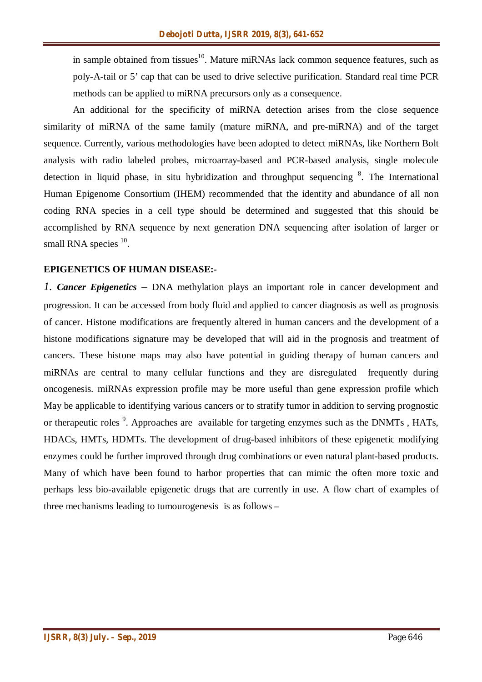in sample obtained from tissues<sup>10</sup>. Mature miRNAs lack common sequence features, such as poly-A-tail or 5' cap that can be used to drive selective purification. Standard real time PCR methods can be applied to miRNA precursors only as a consequence.

An additional for the specificity of miRNA detection arises from the close sequence similarity of miRNA of the same family (mature miRNA, and pre-miRNA) and of the target sequence. Currently, various methodologies have been adopted to detect miRNAs, like Northern Bolt analysis with radio labeled probes, microarray-based and PCR-based analysis, single molecule detection in liquid phase, in situ hybridization and throughput sequencing <sup>8</sup>. The International Human Epigenome Consortium (IHEM) recommended that the identity and abundance of all non coding RNA species in a cell type should be determined and suggested that this should be accomplished by RNA sequence by next generation DNA sequencing after isolation of larger or small RNA species  $10$ .

#### **EPIGENETICS OF HUMAN DISEASE:-**

*1. Cancer Epigenetics –* DNA methylation plays an important role in cancer development and progression. It can be accessed from body fluid and applied to cancer diagnosis as well as prognosis of cancer. Histone modifications are frequently altered in human cancers and the development of a histone modifications signature may be developed that will aid in the prognosis and treatment of cancers. These histone maps may also have potential in guiding therapy of human cancers and miRNAs are central to many cellular functions and they are disregulated frequently during oncogenesis. miRNAs expression profile may be more useful than gene expression profile which May be applicable to identifying various cancers or to stratify tumor in addition to serving prognostic or therapeutic roles<sup>9</sup>. Approaches are available for targeting enzymes such as the DNMTs, HATs, HDACs, HMTs, HDMTs. The development of drug-based inhibitors of these epigenetic modifying enzymes could be further improved through drug combinations or even natural plant-based products. Many of which have been found to harbor properties that can mimic the often more toxic and perhaps less bio-available epigenetic drugs that are currently in use. A flow chart of examples of three mechanisms leading to tumourogenesis is as follows –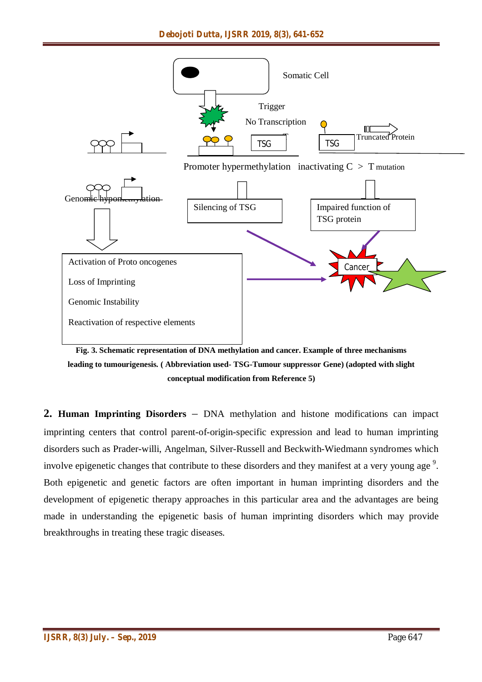

**Fig. 3. Schematic representation of DNA methylation and cancer. Example of three mechanisms leading to tumourigenesis. ( Abbreviation used- TSG-Tumour suppressor Gene) (adopted with slight conceptual modification from Reference 5)**

**2. Human Imprinting Disorders** – DNA methylation and histone modifications can impact imprinting centers that control parent-of-origin-specific expression and lead to human imprinting disorders such as Prader-willi, Angelman, Silver-Russell and Beckwith-Wiedmann syndromes which involve epigenetic changes that contribute to these disorders and they manifest at a very young age  $9$ . Both epigenetic and genetic factors are often important in human imprinting disorders and the development of epigenetic therapy approaches in this particular area and the advantages are being made in understanding the epigenetic basis of human imprinting disorders which may provide breakthroughs in treating these tragic diseases.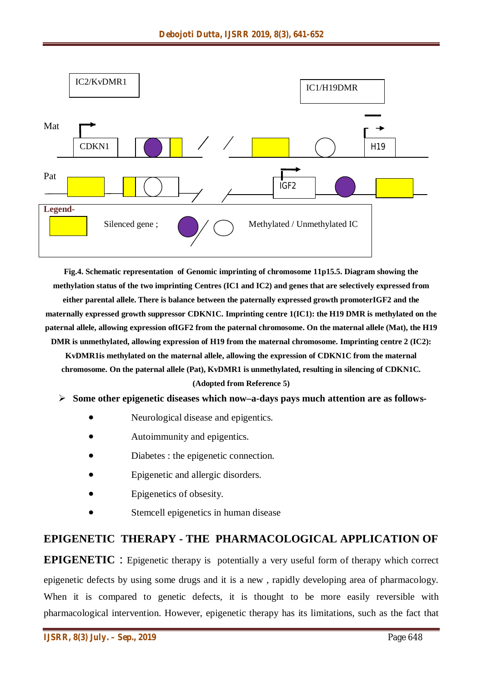

**Fig.4. Schematic representation of Genomic imprinting of chromosome 11p15.5. Diagram showing the methylation status of the two imprinting Centres (IC1 and IC2) and genes that are selectively expressed from either parental allele. There is balance between the paternally expressed growth promoterIGF2 and the maternally expressed growth suppressor CDKN1C. Imprinting centre 1(IC1): the H19 DMR is methylated on the paternal allele, allowing expression ofIGF2 from the paternal chromosome. On the maternal allele (Mat), the H19 DMR** is unmethylated, allowing expression of H19 from the maternal chromosome. Imprinting centre 2 (IC2):

**KvDMR1is methylated on the maternal allele, allowing the expression of CDKN1C from the maternal chromosome. On the paternal allele (Pat), KvDMR1 is unmethylated, resulting in silencing of CDKN1C. (Adopted from Reference 5)**

#### **Some other epigenetic diseases which now–a-days pays much attention are as follows-**

- Neurological disease and epigentics.
- Autoimmunity and epigentics.
- Diabetes : the epigenetic connection.
- Epigenetic and allergic disorders.
- Epigenetics of obsesity.
- Stemcell epigenetics in human disease

## **EPIGENETIC THERAPY - THE PHARMACOLOGICAL APPLICATION OF**

**EPIGENETIC** : Epigenetic therapy is potentially a very useful form of therapy which correct epigenetic defects by using some drugs and it is a new , rapidly developing area of pharmacology. When it is compared to genetic defects, it is thought to be more easily reversible with pharmacological intervention. However, epigenetic therapy has its limitations, such as the fact that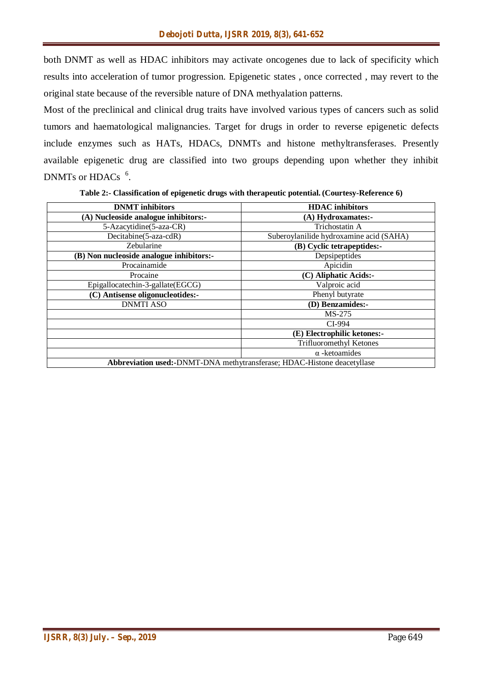both DNMT as well as HDAC inhibitors may activate oncogenes due to lack of specificity which results into acceleration of tumor progression. Epigenetic states , once corrected , may revert to the original state because of the reversible nature of DNA methyalation patterns.

Most of the preclinical and clinical drug traits have involved various types of cancers such as solid tumors and haematological malignancies. Target for drugs in order to reverse epigenetic defects include enzymes such as HATs, HDACs, DNMTs and histone methyltransferases. Presently available epigenetic drug are classified into two groups depending upon whether they inhibit DNMTs or HDACs  $<sup>6</sup>$ .</sup>

**Table 2:- Classification of epigenetic drugs with therapeutic potential. (Courtesy-Reference 6)**

| <b>DNMT</b> inhibitors                                                         | <b>HDAC</b> inhibitors                  |  |
|--------------------------------------------------------------------------------|-----------------------------------------|--|
| (A) Nucleoside analogue inhibitors:-                                           | (A) Hydroxamates:-                      |  |
| 5-Azacytidine(5-aza-CR)                                                        | Trichostatin A                          |  |
| Decitabine(5-aza-cdR)                                                          | Suberoylanilide hydroxamine acid (SAHA) |  |
| Zebularine                                                                     | (B) Cyclic tetrapeptides:-              |  |
| (B) Non nucleoside analogue inhibitors:-                                       | Depsipeptides                           |  |
| Procainamide                                                                   | Apicidin                                |  |
| Procaine                                                                       | (C) Aliphatic Acids:-                   |  |
| Epigallocatechin-3-gallate(EGCG)                                               | Valproic acid                           |  |
| (C) Antisense oligonucleotides:-                                               | Phenyl butyrate                         |  |
| <b>DNMTI ASO</b>                                                               | (D) Benzamides:-                        |  |
|                                                                                | MS-275                                  |  |
|                                                                                | CI-994                                  |  |
|                                                                                | (E) Electrophilic ketones:-             |  |
|                                                                                | Trifluoromethyl Ketones                 |  |
|                                                                                | $\alpha$ -ketoamides                    |  |
| <b>Abbreviation used:-DNMT-DNA</b> methytransferase; HDAC-Histone deacetyllase |                                         |  |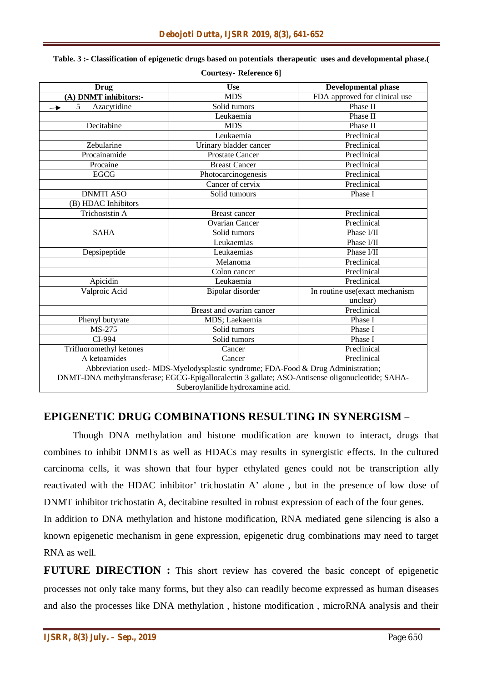| <b>Drug</b>                                                                                       | <b>Use</b>                | <b>Developmental phase</b>     |  |  |
|---------------------------------------------------------------------------------------------------|---------------------------|--------------------------------|--|--|
| (A) DNMT inhibitors:-                                                                             | <b>MDS</b>                | FDA approved for clinical use  |  |  |
| 5<br>Azacytidine                                                                                  | Solid tumors              | Phase II                       |  |  |
|                                                                                                   | Leukaemia                 | Phase II                       |  |  |
| Decitabine                                                                                        | <b>MDS</b>                | Phase II                       |  |  |
|                                                                                                   | Leukaemia                 | Preclinical                    |  |  |
| Zebularine                                                                                        | Urinary bladder cancer    | Preclinical                    |  |  |
| Procainamide                                                                                      | <b>Prostate Cancer</b>    | Preclinical                    |  |  |
| Procaine                                                                                          | <b>Breast Cancer</b>      | Preclinical                    |  |  |
| <b>EGCG</b>                                                                                       | Photocarcinogenesis       | Preclinical                    |  |  |
|                                                                                                   | Cancer of cervix          | Preclinical                    |  |  |
| <b>DNMTI ASO</b>                                                                                  | Solid tumours             | Phase I                        |  |  |
| (B) HDAC Inhibitors                                                                               |                           |                                |  |  |
| Trichoststin A                                                                                    | <b>Breast cancer</b>      | Preclinical                    |  |  |
|                                                                                                   | <b>Ovarian Cancer</b>     | Preclinical                    |  |  |
| <b>SAHA</b>                                                                                       | Solid tumors              | Phase I/II                     |  |  |
|                                                                                                   | Leukaemias                | Phase I/II                     |  |  |
| Depsipeptide                                                                                      | Leukaemias                | Phase I/II                     |  |  |
|                                                                                                   | Melanoma                  | Preclinical                    |  |  |
|                                                                                                   | Colon cancer              | Preclinical                    |  |  |
| Apicidin                                                                                          | Leukaemia                 | Preclinical                    |  |  |
| Valproic Acid                                                                                     | Bipolar disorder          | In routine use(exact mechanism |  |  |
|                                                                                                   |                           | unclear)                       |  |  |
|                                                                                                   | Breast and ovarian cancer | Preclinical                    |  |  |
| Phenyl butyrate                                                                                   | MDS; Laekaemia            | Phase I                        |  |  |
| MS-275                                                                                            | Solid tumors              | Phase I                        |  |  |
| CI-994                                                                                            | Solid tumors              | Phase I                        |  |  |
| Trifluoromethyl ketones                                                                           | Cancer                    | Preclinical                    |  |  |
| A ketoamides                                                                                      | Cancer                    | Preclinical                    |  |  |
| Abbreviation used:- MDS-Myelodysplastic syndrome; FDA-Food & Drug Administration;                 |                           |                                |  |  |
| DNMT-DNA methyltransferase; EGCG-Epigallocalectin 3 gallate; ASO-Antisense oligonucleotide; SAHA- |                           |                                |  |  |
| Suberoylanilide hydroxamine acid.                                                                 |                           |                                |  |  |

#### **Table. 3 :- Classification of epigenetic drugs based on potentials therapeutic uses and developmental phase.( Courtesy- Reference 6]**

## **EPIGENETIC DRUG COMBINATIONS RESULTING IN SYNERGISM –**

Though DNA methylation and histone modification are known to interact, drugs that combines to inhibit DNMTs as well as HDACs may results in synergistic effects. In the cultured carcinoma cells, it was shown that four hyper ethylated genes could not be transcription ally reactivated with the HDAC inhibitor' trichostatin A' alone , but in the presence of low dose of DNMT inhibitor trichostatin A, decitabine resulted in robust expression of each of the four genes.

In addition to DNA methylation and histone modification, RNA mediated gene silencing is also a known epigenetic mechanism in gene expression, epigenetic drug combinations may need to target RNA as well.

**FUTURE DIRECTION :** This short review has covered the basic concept of epigenetic processes not only take many forms, but they also can readily become expressed as human diseases and also the processes like DNA methylation , histone modification , microRNA analysis and their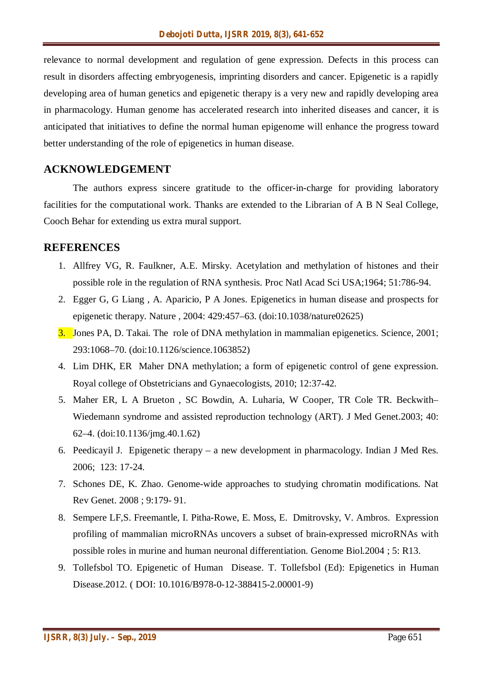relevance to normal development and regulation of gene expression. Defects in this process can result in disorders affecting embryogenesis, imprinting disorders and cancer. Epigenetic is a rapidly developing area of human genetics and epigenetic therapy is a very new and rapidly developing area in pharmacology. Human genome has accelerated research into inherited diseases and cancer, it is anticipated that initiatives to define the normal human epigenome will enhance the progress toward better understanding of the role of epigenetics in human disease.

## **ACKNOWLEDGEMENT**

The authors express sincere gratitude to the officer-in-charge for providing laboratory facilities for the computational work. Thanks are extended to the Librarian of A B N Seal College, Cooch Behar for extending us extra mural support.

## **REFERENCES**

- 1. Allfrey VG, R. Faulkner, A.E. Mirsky. Acetylation and methylation of histones and their possible role in the regulation of RNA synthesis. Proc Natl Acad Sci USA;1964; 51:786-94.
- 2. Egger G, G Liang , A. Aparicio, P A Jones. Epigenetics in human disease and prospects for epigenetic therapy. Nature , 2004: 429:457–63. (doi:10.1038/nature02625)
- 3. Jones PA, D. Takai. The role of DNA methylation in mammalian epigenetics. Science, 2001; 293:1068–70. (doi:10.1126/science.1063852)
- 4. Lim DHK, ER Maher DNA methylation; a form of epigenetic control of gene expression. Royal college of Obstetricians and Gynaecologists, 2010; 12:37-42.
- 5. Maher ER, L A Brueton , SC Bowdin, A. Luharia, W Cooper, TR Cole TR. Beckwith– Wiedemann syndrome and assisted reproduction technology (ART). J Med Genet.2003; 40: 62–4. (doi:10.1136/jmg.40.1.62)
- 6. Peedicayil J. Epigenetic therapy a new development in pharmacology. Indian J Med Res. 2006; 123: 17-24.
- 7. Schones DE, K. Zhao. Genome-wide approaches to studying chromatin modifications. Nat Rev Genet. 2008 ; 9:179- 91.
- 8. Sempere LF,S. Freemantle, I. Pitha-Rowe, E. Moss, E. Dmitrovsky, V. Ambros. Expression profiling of mammalian microRNAs uncovers a subset of brain-expressed microRNAs with possible roles in murine and human neuronal differentiation. Genome Biol.2004 ; 5: R13.
- 9. Tollefsbol TO. Epigenetic of Human Disease. T. Tollefsbol (Ed): Epigenetics in Human Disease.2012. ( DOI: 10.1016/B978-0-12-388415-2.00001-9)